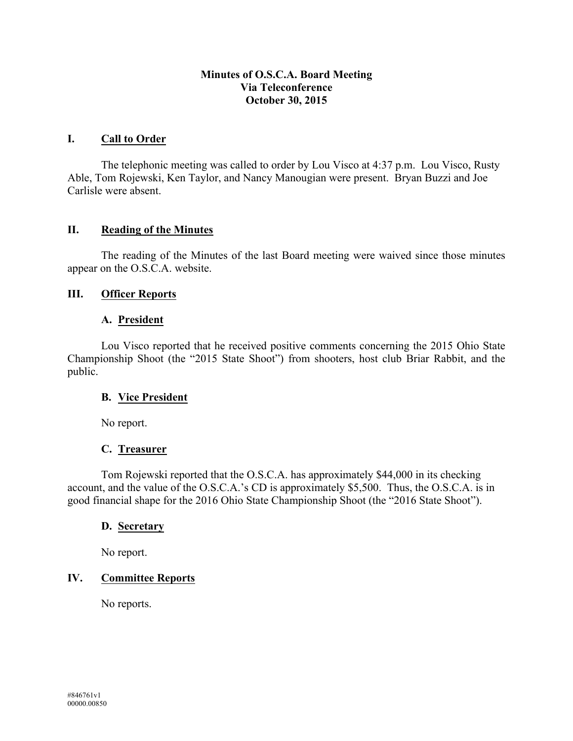#### **Minutes of O.S.C.A. Board Meeting Via Teleconference October 30, 2015**

#### **I. Call to Order**

The telephonic meeting was called to order by Lou Visco at 4:37 p.m. Lou Visco, Rusty Able, Tom Rojewski, Ken Taylor, and Nancy Manougian were present. Bryan Buzzi and Joe Carlisle were absent.

#### **II. Reading of the Minutes**

The reading of the Minutes of the last Board meeting were waived since those minutes appear on the O.S.C.A. website.

#### **III. Officer Reports**

#### **A. President**

Lou Visco reported that he received positive comments concerning the 2015 Ohio State Championship Shoot (the "2015 State Shoot") from shooters, host club Briar Rabbit, and the public.

## **B. Vice President**

No report.

## **C. Treasurer**

Tom Rojewski reported that the O.S.C.A. has approximately \$44,000 in its checking account, and the value of the O.S.C.A.'s CD is approximately \$5,500. Thus, the O.S.C.A. is in good financial shape for the 2016 Ohio State Championship Shoot (the "2016 State Shoot").

#### **D. Secretary**

No report.

## **IV. Committee Reports**

No reports.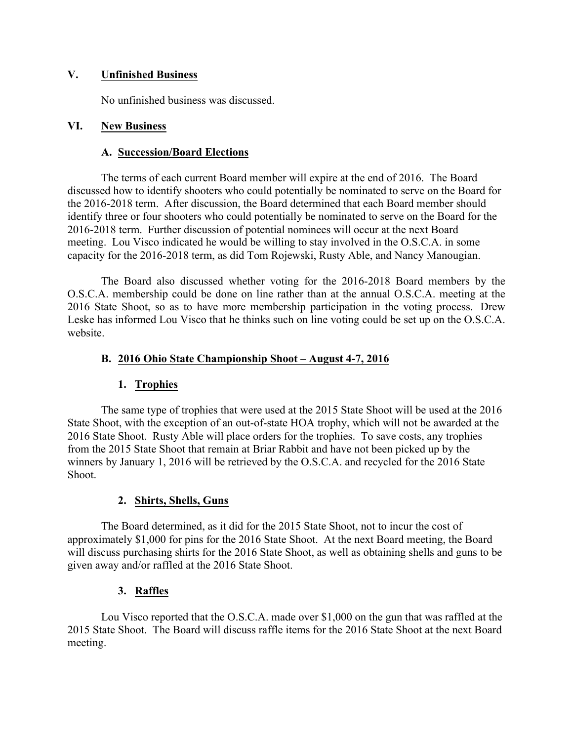#### **V. Unfinished Business**

No unfinished business was discussed.

#### **VI. New Business**

#### **A. Succession/Board Elections**

The terms of each current Board member will expire at the end of 2016. The Board discussed how to identify shooters who could potentially be nominated to serve on the Board for the 2016-2018 term. After discussion, the Board determined that each Board member should identify three or four shooters who could potentially be nominated to serve on the Board for the 2016-2018 term. Further discussion of potential nominees will occur at the next Board meeting. Lou Visco indicated he would be willing to stay involved in the O.S.C.A. in some capacity for the 2016-2018 term, as did Tom Rojewski, Rusty Able, and Nancy Manougian.

The Board also discussed whether voting for the 2016-2018 Board members by the O.S.C.A. membership could be done on line rather than at the annual O.S.C.A. meeting at the 2016 State Shoot, so as to have more membership participation in the voting process. Drew Leske has informed Lou Visco that he thinks such on line voting could be set up on the O.S.C.A. website.

## **B. 2016 Ohio State Championship Shoot – August 4-7, 2016**

## **1. Trophies**

The same type of trophies that were used at the 2015 State Shoot will be used at the 2016 State Shoot, with the exception of an out-of-state HOA trophy, which will not be awarded at the 2016 State Shoot. Rusty Able will place orders for the trophies. To save costs, any trophies from the 2015 State Shoot that remain at Briar Rabbit and have not been picked up by the winners by January 1, 2016 will be retrieved by the O.S.C.A. and recycled for the 2016 State Shoot.

## **2. Shirts, Shells, Guns**

The Board determined, as it did for the 2015 State Shoot, not to incur the cost of approximately \$1,000 for pins for the 2016 State Shoot. At the next Board meeting, the Board will discuss purchasing shirts for the 2016 State Shoot, as well as obtaining shells and guns to be given away and/or raffled at the 2016 State Shoot.

## **3. Raffles**

Lou Visco reported that the O.S.C.A. made over \$1,000 on the gun that was raffled at the 2015 State Shoot. The Board will discuss raffle items for the 2016 State Shoot at the next Board meeting.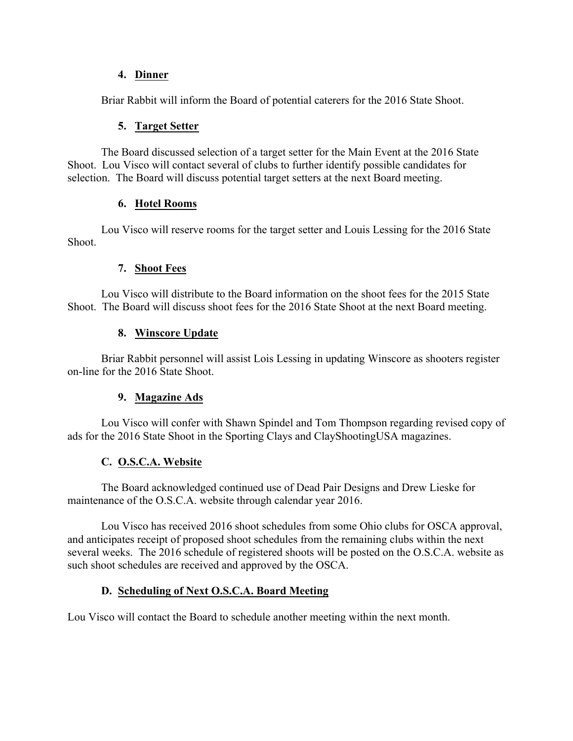## **4. Dinner**

Briar Rabbit will inform the Board of potential caterers for the 2016 State Shoot.

## **5. Target Setter**

The Board discussed selection of a target setter for the Main Event at the 2016 State Shoot. Lou Visco will contact several of clubs to further identify possible candidates for selection. The Board will discuss potential target setters at the next Board meeting.

## **6. Hotel Rooms**

Lou Visco will reserve rooms for the target setter and Louis Lessing for the 2016 State Shoot.

# **7. Shoot Fees**

Lou Visco will distribute to the Board information on the shoot fees for the 2015 State Shoot. The Board will discuss shoot fees for the 2016 State Shoot at the next Board meeting.

# **8. Winscore Update**

Briar Rabbit personnel will assist Lois Lessing in updating Winscore as shooters register on-line for the 2016 State Shoot.

## **9. Magazine Ads**

Lou Visco will confer with Shawn Spindel and Tom Thompson regarding revised copy of ads for the 2016 State Shoot in the Sporting Clays and ClayShootingUSA magazines.

# **C. O.S.C.A. Website**

The Board acknowledged continued use of Dead Pair Designs and Drew Lieske for maintenance of the O.S.C.A. website through calendar year 2016.

Lou Visco has received 2016 shoot schedules from some Ohio clubs for OSCA approval, and anticipates receipt of proposed shoot schedules from the remaining clubs within the next several weeks. The 2016 schedule of registered shoots will be posted on the O.S.C.A. website as such shoot schedules are received and approved by the OSCA.

# **D. Scheduling of Next O.S.C.A. Board Meeting**

Lou Visco will contact the Board to schedule another meeting within the next month.